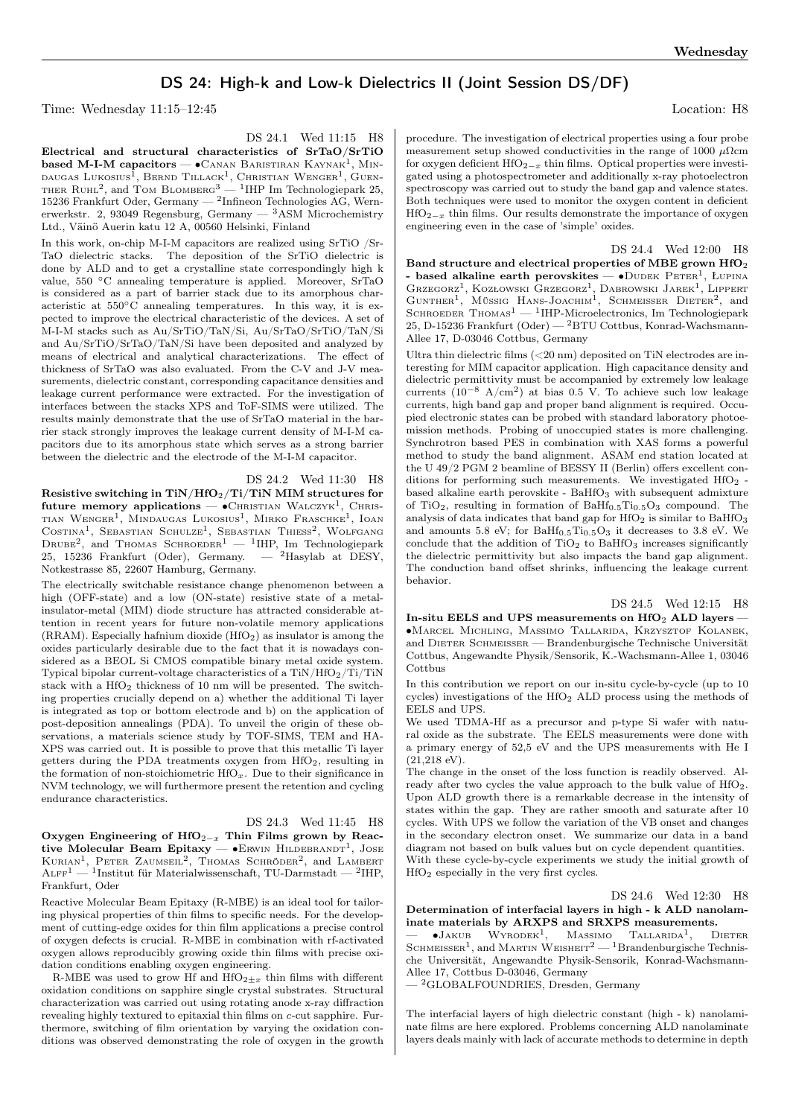## DS 24: High-k and Low-k Dielectrics II (Joint Session DS/DF)

Time: Wednesday 11:15–12:45 Location: H8

DS 24.1 Wed 11:15 H8

Electrical and structural characteristics of SrTaO/SrTiO based M-I-M capacitors —  $\bullet$ Canan Baristiran Kaynak<sup>1</sup>, Mindaugas Lukosius $^1$ , Bernd Tillack $^1$ , Christian Wenger $^1$ , Guen-THER RUHL<sup>2</sup>, and TOM BLOMBERG<sup>3</sup> — <sup>1</sup>IHP Im Technologiepark 25, 15236 Frankfurt Oder, Germany — <sup>2</sup> Infineon Technologies AG, Wernerwerkstr. 2, 93049 Regensburg, Germany — <sup>3</sup>ASM Microchemistry Ltd., Väinö Auerin katu 12 A, 00560 Helsinki, Finland

In this work, on-chip M-I-M capacitors are realized using SrTiO /Sr-TaO dielectric stacks. The deposition of the SrTiO dielectric is done by ALD and to get a crystalline state correspondingly high k value, 550 <sup>∘</sup>C annealing temperature is applied. Moreover, SrTaO is considered as a part of barrier stack due to its amorphous characteristic at 550∘C annealing temperatures. In this way, it is expected to improve the electrical characteristic of the devices. A set of M-I-M stacks such as Au/SrTiO/TaN/Si, Au/SrTaO/SrTiO/TaN/Si and Au/SrTiO/SrTaO/TaN/Si have been deposited and analyzed by means of electrical and analytical characterizations. The effect of thickness of SrTaO was also evaluated. From the C-V and J-V measurements, dielectric constant, corresponding capacitance densities and leakage current performance were extracted. For the investigation of interfaces between the stacks XPS and ToF-SIMS were utilized. The results mainly demonstrate that the use of SrTaO material in the barrier stack strongly improves the leakage current density of M-I-M capacitors due to its amorphous state which serves as a strong barrier between the dielectric and the electrode of the M-I-M capacitor.

DS 24.2 Wed 11:30 H8 Resistive switching in TiN/HfO<sub>2</sub>/Ti/TiN MIM structures for  $\text{future memory applications} - \bullet \text{CHRISTIAN WALCZYK}^1$ , CHRIStian Wenger<sup>1</sup>, Mindaugas Lukosius<sup>1</sup>, Mirko Fraschke<sup>1</sup>, Ioan COSTINA<sup>1</sup>, SEBASTIAN SCHULZE<sup>1</sup>, SEBASTIAN THIESS<sup>2</sup>, WOLFGANG  $DRUBE<sup>2</sup>$ , and THOMAS SCHROEDER<sup>1</sup> - <sup>1</sup>IHP, Im Technologiepark 25, 15236 Frankfurt (Oder), Germany.  $-$  <sup>2</sup>Hasylab at DESY, Notkestrasse 85, 22607 Hamburg, Germany.

The electrically switchable resistance change phenomenon between a high (OFF-state) and a low (ON-state) resistive state of a metalinsulator-metal (MIM) diode structure has attracted considerable attention in recent years for future non-volatile memory applications (RRAM). Especially hafnium dioxide (HfO2) as insulator is among the oxides particularly desirable due to the fact that it is nowadays considered as a BEOL Si CMOS compatible binary metal oxide system. Typical bipolar current-voltage characteristics of a  $TiN/HfO<sub>2</sub>/Ti/TiN$ stack with a  $HfO<sub>2</sub>$  thickness of 10 nm will be presented. The switching properties crucially depend on a) whether the additional Ti layer is integrated as top or bottom electrode and b) on the application of post-deposition annealings (PDA). To unveil the origin of these observations, a materials science study by TOF-SIMS, TEM and HA-XPS was carried out. It is possible to prove that this metallic Ti layer getters during the PDA treatments oxygen from HfO2, resulting in the formation of non-stoichiometric  $HfO_x$ . Due to their significance in NVM technology, we will furthermore present the retention and cycling endurance characteristics.

## DS 24.3 Wed 11:45 H8

Oxygen Engineering of HfO<sub>2− $x$ </sub> Thin Films grown by Reactive Molecular Beam Epitaxy —  $\bullet$ Erwin Hildebrandt<sup>1</sup>, Jose KURIAN<sup>1</sup>, PETER ZAUMSEIL<sup>2</sup>, THOMAS SCHRÖDER<sup>2</sup>, and LAMBERT  $A \text{LFF}^1 = {^{1}}$ Institut für Materialwissenschaft, TU-Darmstadt —  $^{2}$ IHP, Frankfurt, Oder

Reactive Molecular Beam Epitaxy (R-MBE) is an ideal tool for tailoring physical properties of thin films to specific needs. For the development of cutting-edge oxides for thin film applications a precise control of oxygen defects is crucial. R-MBE in combination with rf-activated oxygen allows reproducibly growing oxide thin films with precise oxidation conditions enabling oxygen engineering.

R-MBE was used to grow Hf and  $\rm{HfO_{2\pm x}}$  thin films with different oxidation conditions on sapphire single crystal substrates. Structural characterization was carried out using rotating anode x-ray diffraction revealing highly textured to epitaxial thin films on c-cut sapphire. Furthermore, switching of film orientation by varying the oxidation conditions was observed demonstrating the role of oxygen in the growth

procedure. The investigation of electrical properties using a four probe measurement setup showed conductivities in the range of 1000  $\mu \Omega$ cm for oxygen deficient HfO<sub>2− $x$ </sub> thin films. Optical properties were investigated using a photospectrometer and additionally x-ray photoelectron spectroscopy was carried out to study the band gap and valence states. Both techniques were used to monitor the oxygen content in deficient  $HfO_{2-x}$  thin films. Our results demonstrate the importance of oxygen engineering even in the case of 'simple' oxides.

DS 24.4 Wed 12:00 H8 Band structure and electrical properties of MBE grown HfO<sup>2</sup> - based alkaline earth perovskites — •Dudek Peter<sup>1</sup>, Lupina<br>Grzegorz<sup>1</sup>, Kozłowski Grzegorz<sup>1</sup>, Dabrowski Jarek<sup>1</sup>, Lippert<br>Gunther<sup>1</sup>, Müssig Hans-Joachim<sup>1</sup>, Schmeisser Dieter<sup>2</sup>, and SCHROEDER THOMAS<sup>1</sup> — <sup>1</sup>IHP-Microelectronics, Im Technologiepark  $25, D-15236$  Frankfurt  $(Oder) -{}^{2}BTU$  Cottbus, Konrad-Wachsmann-Allee 17, D-03046 Cottbus, Germany

Ultra thin dielectric films  $( $20 \text{ nm}$ )$  deposited on TiN electrodes are interesting for MIM capacitor application. High capacitance density and dielectric permittivity must be accompanied by extremely low leakage currents (10−<sup>8</sup> A/cm<sup>2</sup> ) at bias 0.5 V. To achieve such low leakage currents, high band gap and proper band alignment is required. Occupied electronic states can be probed with standard laboratory photoemission methods. Probing of unoccupied states is more challenging. Synchrotron based PES in combination with XAS forms a powerful method to study the band alignment. ASAM end station located at the U 49/2 PGM 2 beamline of BESSY II (Berlin) offers excellent conditions for performing such measurements. We investigated  $HfO<sub>2</sub>$  based alkaline earth perovskite -  $\mathrm{BaHfO_{3}}$  with subsequent admixture of TiO<sub>2</sub>, resulting in formation of  $\text{BaHf}_{0.5}\text{Ti}_{0.5}\text{O}_3$  compound. The analysis of data indicates that band gap for  $HfO<sub>2</sub>$  is similar to BaHfO<sub>3</sub> and amounts 5.8 eV; for  $BaHf_{0.5}Ti_{0.5}O_3$  it decreases to 3.8 eV. We conclude that the addition of  $TiO<sub>2</sub>$  to BaHfO<sub>3</sub> increases significantly the dielectric permittivity but also impacts the band gap alignment. The conduction band offset shrinks, influencing the leakage current behavior.

DS 24.5 Wed 12:15 H8

In-situ EELS and UPS measurements on  $HfO<sub>2</sub>$  ALD layers – ∙Marcel Michling, Massimo Tallarida, Krzysztof Kolanek, and Dieter Schmeisser — Brandenburgische Technische Universität Cottbus, Angewandte Physik/Sensorik, K.-Wachsmann-Allee 1, 03046 Cottbus

In this contribution we report on our in-situ cycle-by-cycle (up to 10 cycles) investigations of the HfO<sup>2</sup> ALD process using the methods of EELS and UPS.

We used TDMA-Hf as a precursor and p-type Si wafer with natural oxide as the substrate. The EELS measurements were done with a primary energy of 52,5 eV and the UPS measurements with He I  $(21,218 \text{ eV}).$ 

The change in the onset of the loss function is readily observed. Already after two cycles the value approach to the bulk value of HfO<sub>2</sub>. Upon ALD growth there is a remarkable decrease in the intensity of states within the gap. They are rather smooth and saturate after 10 cycles. With UPS we follow the variation of the VB onset and changes in the secondary electron onset. We summarize our data in a band diagram not based on bulk values but on cycle dependent quantities. With these cycle-by-cycle experiments we study the initial growth of HfO<sup>2</sup> especially in the very first cycles.

DS 24.6 Wed 12:30 H8

Determination of interfacial layers in high - k ALD nanolaminate materials by ARXPS and SRXPS measurements.

— • Jакuв Wyrodek<sup>1</sup>, Massimo Tallarida<sup>1</sup>, Dieter Schmeisser<sup>1</sup>, and Martin Weisheit<sup>2</sup> — <sup>1</sup>Brandenburgische Technische Universität, Angewandte Physik-Sensorik, Konrad-Wachsmann-Allee 17, Cottbus D-03046, Germany

— <sup>2</sup>GLOBALFOUNDRIES, Dresden, Germany

The interfacial layers of high dielectric constant (high - k) nanolaminate films are here explored. Problems concerning ALD nanolaminate layers deals mainly with lack of accurate methods to determine in depth